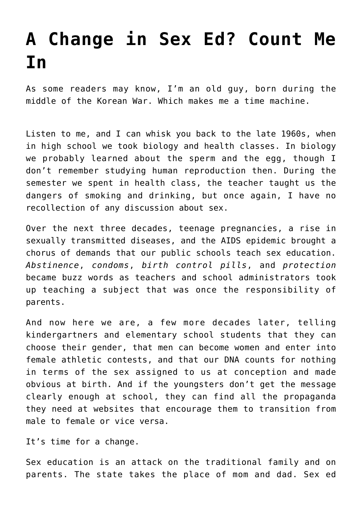## **[A Change in Sex Ed? Count Me](https://intellectualtakeout.org/2022/03/a-change-in-sex-ed-count-me-in/) [In](https://intellectualtakeout.org/2022/03/a-change-in-sex-ed-count-me-in/)**

As some readers may know, I'm an old guy, born during the middle of the Korean War. Which makes me a time machine.

Listen to me, and I can whisk you back to the late 1960s, when in high school we took biology and health classes. In biology we probably learned about the sperm and the egg, though I don't remember studying human reproduction then. During the semester we spent in health class, the teacher taught us the dangers of smoking and drinking, but once again, I have no recollection of any discussion about sex.

Over the next three decades, teenage pregnancies, a rise in sexually transmitted diseases, and the AIDS epidemic brought a chorus of demands that our public schools teach sex education. *Abstinence*, *condoms*, *birth control pills*, and *protection* became buzz words as teachers and school administrators took up teaching a subject that was once the responsibility of parents.

And now here we are, a few more decades later, telling kindergartners and elementary school students that they can choose their gender, that men can become women and enter into female athletic contests, and that our DNA counts for nothing in terms of the sex assigned to us at conception and made obvious at birth. And if the youngsters don't get the message clearly enough at school, they can find all the propaganda they need at websites that encourage them to transition from male to female or vice versa.

It's time for a change.

Sex education is an attack on the traditional family and on parents. The state takes the place of mom and dad. Sex ed